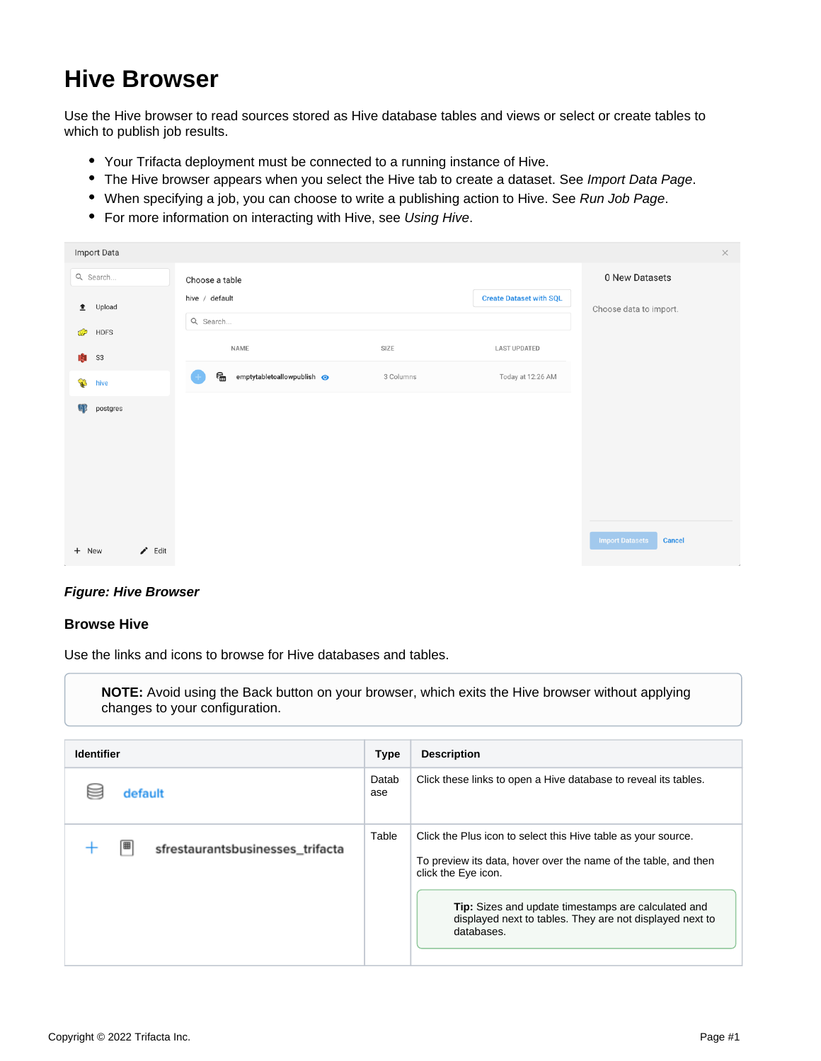# **Hive Browser**

Use the Hive browser to read sources stored as Hive database tables and views or select or create tables to which to publish job results.

- Your Trifacta deployment must be connected to a running instance of Hive.
- The Hive browser appears when you select the Hive tab to create a dataset. See [Import Data Page](https://docs.trifacta.com/display/r050/Import+Data+Page).
- When specifying a job, you can choose to write a publishing action to Hive. See [Run Job Page](https://docs.trifacta.com/display/r050/Run+Job+Page).
- For more information on interacting with Hive, see [Using Hive](https://docs.trifacta.com/display/r050/Using+Hive).

| Import Data              |                                 |           |                                | $\times$                                |
|--------------------------|---------------------------------|-----------|--------------------------------|-----------------------------------------|
| Q Search                 | Choose a table                  |           |                                | 0 New Datasets                          |
| Upload<br>$\triangle$    | hive / default                  |           | <b>Create Dataset with SQL</b> | Choose data to import.                  |
| <b>HDFS</b><br>O         | Q Search                        |           |                                |                                         |
| Ŵ<br>S <sub>3</sub>      | NAME                            | SIZE      | <b>LAST UPDATED</b>            |                                         |
|                          | 6<br>emptytabletoallowpublish @ | 3 Columns | Today at 12:26 AM              |                                         |
| $\mathbf{C}$<br>hive     |                                 |           |                                |                                         |
| $\mathbb{Q}$<br>postgres |                                 |           |                                |                                         |
|                          |                                 |           |                                |                                         |
|                          |                                 |           |                                |                                         |
|                          |                                 |           |                                |                                         |
|                          |                                 |           |                                |                                         |
|                          |                                 |           |                                | <b>Import Datasets</b><br><b>Cancel</b> |
| $\angle$ Edit<br>+ New   |                                 |           |                                |                                         |

### **Figure: Hive Browser**

#### **Browse Hive**

Use the links and icons to browse for Hive databases and tables.

**NOTE:** Avoid using the Back button on your browser, which exits the Hive browser without applying changes to your configuration.

| <b>Identifier</b>                     |              | <b>Description</b>                                                                                                                                      |
|---------------------------------------|--------------|---------------------------------------------------------------------------------------------------------------------------------------------------------|
| default                               | Datab<br>ase | Click these links to open a Hive database to reveal its tables.                                                                                         |
| 囲<br>sfrestaurantsbusinesses_trifacta | Table        | Click the Plus icon to select this Hive table as your source.<br>To preview its data, hover over the name of the table, and then<br>click the Eye icon. |
|                                       |              | <b>Tip:</b> Sizes and update timestamps are calculated and<br>displayed next to tables. They are not displayed next to<br>databases.                    |